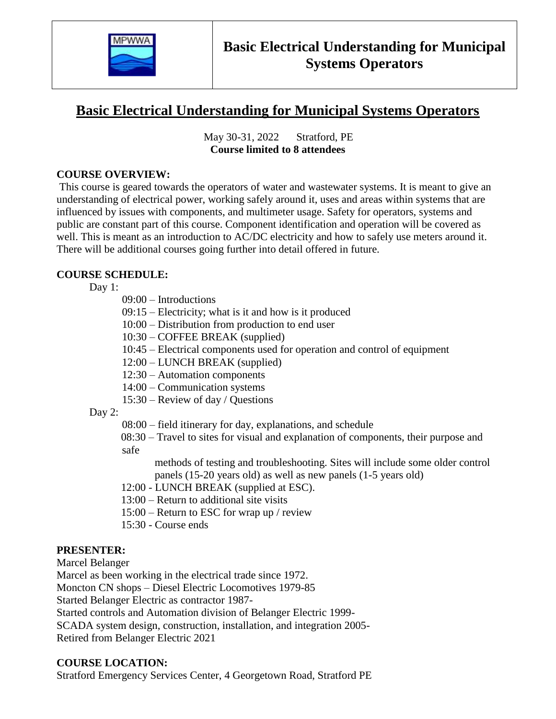

# **Basic Electrical Understanding for Municipal Systems Operators**

 May 30-31, 2022 Stratford, PE **Course limited to 8 attendees**

#### **COURSE OVERVIEW:**

This course is geared towards the operators of water and wastewater systems. It is meant to give an understanding of electrical power, working safely around it, uses and areas within systems that are influenced by issues with components, and multimeter usage. Safety for operators, systems and public are constant part of this course. Component identification and operation will be covered as well. This is meant as an introduction to AC/DC electricity and how to safely use meters around it. There will be additional courses going further into detail offered in future.

### **COURSE SCHEDULE:**

Day 1:

- 09:00 Introductions
- 09:15 Electricity; what is it and how is it produced
- 10:00 Distribution from production to end user
- 10:30 COFFEE BREAK (supplied)
- 10:45 Electrical components used for operation and control of equipment
- 12:00 LUNCH BREAK (supplied)
- 12:30 Automation components
- 14:00 Communication systems
- 15:30 Review of day / Questions

#### Day 2:

- 08:00 field itinerary for day, explanations, and schedule
- 08:30 Travel to sites for visual and explanation of components, their purpose and safe
	- methods of testing and troubleshooting. Sites will include some older control panels (15-20 years old) as well as new panels (1-5 years old)
- 12:00 LUNCH BREAK (supplied at ESC).
- 13:00 Return to additional site visits
- 15:00 Return to ESC for wrap up / review
- 15:30 Course ends

### **PRESENTER:**

Marcel Belanger

Marcel as been working in the electrical trade since 1972.

Moncton CN shops – Diesel Electric Locomotives 1979-85

Started Belanger Electric as contractor 1987-

Started controls and Automation division of Belanger Electric 1999-

SCADA system design, construction, installation, and integration 2005-

Retired from Belanger Electric 2021

#### **COURSE LOCATION:**

Stratford Emergency Services Center, 4 Georgetown Road, Stratford PE